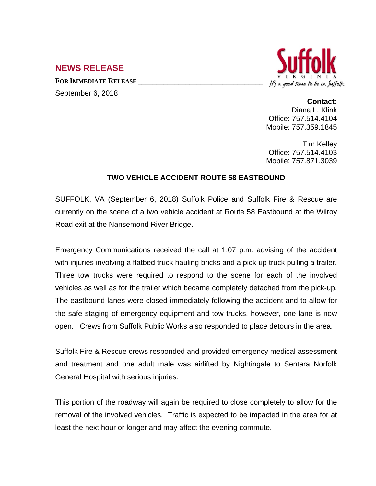## **NEWS RELEASE**

**FOR IMMEDIATE RELEASE \_\_\_\_\_\_\_\_\_\_\_\_\_\_\_\_\_\_\_\_\_\_\_\_\_\_\_\_\_\_\_\_\_\_**

September 6, 2018



## **Contact:**

Diana L. Klink Office: 757.514.4104 Mobile: 757.359.1845

Tim Kelley Office: 757.514.4103 Mobile: 757.871.3039

## **TWO VEHICLE ACCIDENT ROUTE 58 EASTBOUND**

SUFFOLK, VA (September 6, 2018) Suffolk Police and Suffolk Fire & Rescue are currently on the scene of a two vehicle accident at Route 58 Eastbound at the Wilroy Road exit at the Nansemond River Bridge.

Emergency Communications received the call at 1:07 p.m. advising of the accident with injuries involving a flatbed truck hauling bricks and a pick-up truck pulling a trailer. Three tow trucks were required to respond to the scene for each of the involved vehicles as well as for the trailer which became completely detached from the pick-up. The eastbound lanes were closed immediately following the accident and to allow for the safe staging of emergency equipment and tow trucks, however, one lane is now open. Crews from Suffolk Public Works also responded to place detours in the area.

Suffolk Fire & Rescue crews responded and provided emergency medical assessment and treatment and one adult male was airlifted by Nightingale to Sentara Norfolk General Hospital with serious injuries.

This portion of the roadway will again be required to close completely to allow for the removal of the involved vehicles. Traffic is expected to be impacted in the area for at least the next hour or longer and may affect the evening commute.